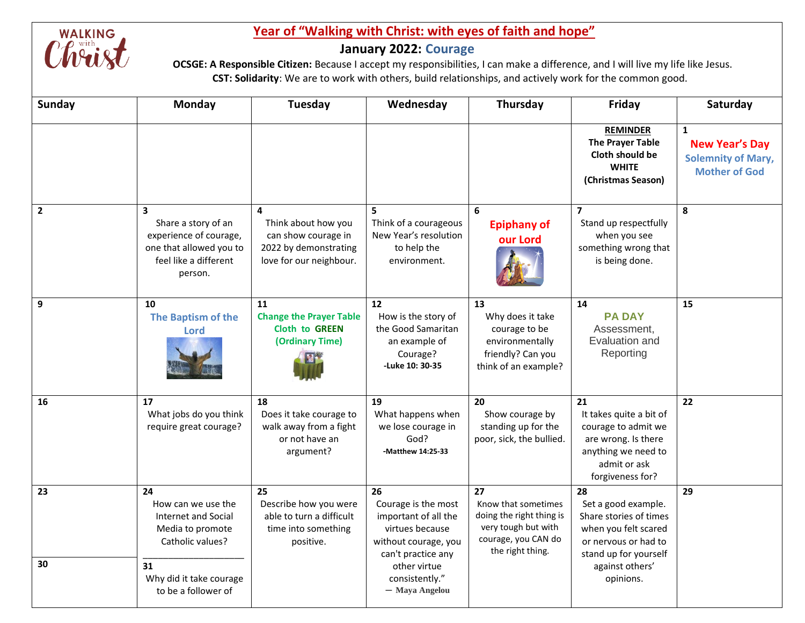

## **<u>Year of "Walking with Christ: with eyes of faith and hope"</u><br>
January 2022: Courage<br>
<b>COUSE:** A Responsible Citizen: Because I accept my responsibilities, I can make a difference, a

## **January 2022: Courage**

 **OCSGE: A Responsible Citizen:** Because I accept my responsibilities, I can make a difference, and I will live my life like Jesus.  **CST: Solidarity**: We are to work with others, build relationships, and actively work for the common good.

| <b>Sunday</b>  | <b>Monday</b>                                                                                                                                          | Tuesday                                                                                             | Wednesday                                                                                                                                                              | Thursday                                                                                                                | Friday                                                                                                                                                       | Saturday                                                                                   |
|----------------|--------------------------------------------------------------------------------------------------------------------------------------------------------|-----------------------------------------------------------------------------------------------------|------------------------------------------------------------------------------------------------------------------------------------------------------------------------|-------------------------------------------------------------------------------------------------------------------------|--------------------------------------------------------------------------------------------------------------------------------------------------------------|--------------------------------------------------------------------------------------------|
|                |                                                                                                                                                        |                                                                                                     |                                                                                                                                                                        |                                                                                                                         | <b>REMINDER</b><br><b>The Prayer Table</b><br>Cloth should be<br><b>WHITE</b><br>(Christmas Season)                                                          | $\mathbf{1}$<br><b>New Year's Day</b><br><b>Solemnity of Mary,</b><br><b>Mother of God</b> |
| $\overline{2}$ | $\overline{\mathbf{3}}$<br>Share a story of an<br>experience of courage,<br>one that allowed you to<br>feel like a different<br>person.                | 4<br>Think about how you<br>can show courage in<br>2022 by demonstrating<br>love for our neighbour. | 5<br>Think of a courageous<br>New Year's resolution<br>to help the<br>environment.                                                                                     | 6<br><b>Epiphany of</b><br>our Lord                                                                                     | $\overline{\phantom{a}}$<br>Stand up respectfully<br>when you see<br>something wrong that<br>is being done.                                                  | 8                                                                                          |
| 9              | 10<br>The Baptism of the<br>Lord                                                                                                                       | 11<br><b>Change the Prayer Table</b><br><b>Cloth to GREEN</b><br>(Ordinary Time)                    | $12 \overline{ }$<br>How is the story of<br>the Good Samaritan<br>an example of<br>Courage?<br>-Luke 10: 30-35                                                         | 13<br>Why does it take<br>courage to be<br>environmentally<br>friendly? Can you<br>think of an example?                 | 14<br><b>PA DAY</b><br>Assessment,<br>Evaluation and<br>Reporting                                                                                            | 15                                                                                         |
| 16             | 17<br>What jobs do you think<br>require great courage?                                                                                                 | 18<br>Does it take courage to<br>walk away from a fight<br>or not have an<br>argument?              | 19<br>What happens when<br>we lose courage in<br>God?<br>-Matthew 14:25-33                                                                                             | 20<br>Show courage by<br>standing up for the<br>poor, sick, the bullied.                                                | 21<br>It takes quite a bit of<br>courage to admit we<br>are wrong. Is there<br>anything we need to<br>admit or ask<br>forgiveness for?                       | 22                                                                                         |
| 23<br>30       | 24<br>How can we use the<br><b>Internet and Social</b><br>Media to promote<br>Catholic values?<br>31<br>Why did it take courage<br>to be a follower of | 25<br>Describe how you were<br>able to turn a difficult<br>time into something<br>positive.         | 26<br>Courage is the most<br>important of all the<br>virtues because<br>without courage, you<br>can't practice any<br>other virtue<br>consistently."<br>- Maya Angelou | 27<br>Know that sometimes<br>doing the right thing is<br>very tough but with<br>courage, you CAN do<br>the right thing. | 28<br>Set a good example.<br>Share stories of times<br>when you felt scared<br>or nervous or had to<br>stand up for yourself<br>against others'<br>opinions. | 29                                                                                         |